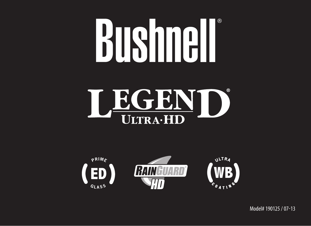# Bushnell® LEGEND®



Model# 190125 / 07-13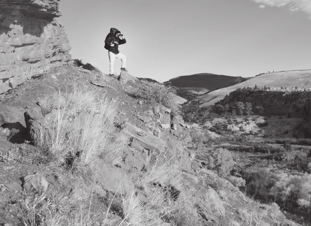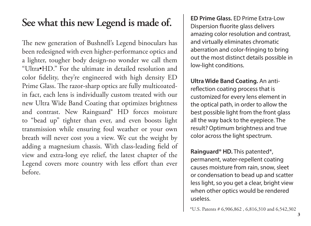# **See what this new Legend is made of.**

The new generation of Bushnell's Legend binoculars has been redesigned with even higher-performance optics and a lighter, tougher body design-no wonder we call them "Ultra•HD." For the ultimate in detailed resolution and color fidelity, they're engineered with high density ED Prime Glass. The razor-sharp optics are fully multicoatedin fact, each lens is individually custom treated with our new Ultra Wide Band Coating that optimizes brightness and contrast. New Rainguard® HD forces moisture to "bead up" tighter than ever, and even boosts light transmission while ensuring foul weather or your own breath will never cost you a view. We cut the weight by adding a magnesium chassis. With class-leading field of view and extra-long eye relief, the latest chapter of the Legend covers more country with less effort than ever before.

**ED Prime Glass.** FD Prime Extra-Low Dispersion fluorite glass delivers amazing color resolution and contrast, and virtually eliminates chromatic aberration and color-fringing to bring out the most distinct details possible in low-light conditions.

**Ultra Wide Band Coating.** An antireflection coating process that is customized for every lens element in the optical path, in order to allow the best possible light from the front glass all the way back to the eyepiece. The result? Optimum brightness and true color across the light spectrum.

**Rainguard® HD.** This patented\*, permanent, water-repellent coating causes moisture from rain, snow, sleet or condensation to bead up and scatter less light, so you get a clear, bright view when other optics would be rendered useless.

\*U.S. Patents # 6,906,862 , 6,816,310 and 6,542,302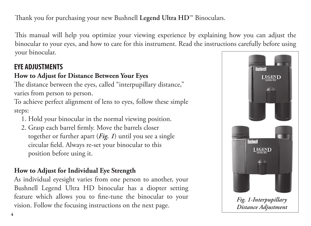Thank you for purchasing your new Bushnell **Legend Ultra HD**™ Binoculars.

This manual will help you optimize your viewing experience by explaining how you can adjust the binocular to your eyes, and how to care for this instrument. Read the instructions carefully before using your binocular.

# **EYE ADJUSTMENTS**

# **How to Adjust for Distance Between Your Eyes**

The distance between the eyes, called "interpupillary distance," varies from person to person.

To achieve perfect alignment of lens to eyes, follow these simple steps:

- 1. Hold your binocular in the normal viewing position.
- 2. Grasp each barrel firmly. Move the barrels closer together or further apart (*Fig. 1*) until you see a single circular field. Always re-set your binocular to this position before using it.

# **How to Adjust for Individual Eye Strength**

As individual eyesight varies from one person to another, your Bushnell Legend Ultra HD binocular has a diopter setting feature which allows you to fine-tune the binocular to your vision. Follow the focusing instructions on the next page.<br> *Fig. 1-Interpupillary* vision. Follow the focusing instructions on the next page.



*Distance Adjustment*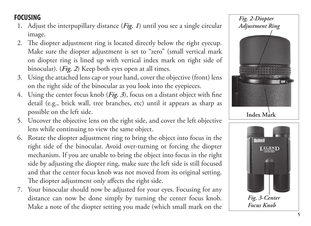# **FOCUSING**

- 1. Adjust the interpupillary distance (*Fig. 1*) until you see a single circular image.
- 2. The diopter adjustment ring is located directly below the right eyecup. Make sure the diopter adjustment is set to "zero" (small vertical mark on diopter ring is lined up with vertical index mark on right side of binocular). (*Fig. 2*) Keep both eyes open at all times.
- 3. Using the attached lens cap or your hand, cover the objective (front) lens on the right side of the binocular as you look into the eyepieces.
- 4. Using the center focus knob (*Fig. 3*), focus on a distant object with fine detail (e.g., brick wall, tree branches, etc) until it appears as sharp as possible on the left side.
- 5. Uncover the objective lens on the right side, and cover the left objective lens while continuing to view the same object.
- 6. Rotate the diopter adjustment ring to bring the object into focus in the right side of the binocular. Avoid over-turning or forcing the diopter mechanism. If you are unable to bring the object into focus in the right side by adjusting the diopter ring, make sure the left side is still focused and that the center focus knob was not moved from its original setting. The diopter adjustment only affects the right side.
- 7. Your binocular should now be adjusted for your eyes. Focusing for any distance can now be done simply by turning the center focus knob. Make a note of the diopter setting you made (which small mark on the

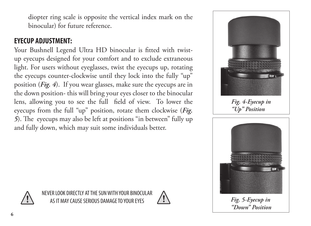diopter ring scale is opposite the vertical index mark on the binocular) for future reference.

# **EYECUP ADJUSTMENT:**

Your Bushnell Legend Ultra HD binocular is fitted with twistup eyecups designed for your comfort and to exclude extraneous light. For users without eyeglasses, twist the eyecups up, rotating the eyecups counter-clockwise until they lock into the fully "up" position (*Fig. 4*). If you wear glasses, make sure the eyecups are in the down position- this will bring your eyes closer to the binocular lens, allowing you to see the full field of view. To lower the eyecups from the full "up" position, rotate them clockwise (*Fig. 5*). The eyecups may also be left at positions "in between" fully up and fully down, which may suit some individuals better.





NEVER LOOK DIRECTLY AT THE SUN WITH YOUR BINOCULAR AS IT MAY CAUSE SERIOUS DAMAGE TO YOUR EYES

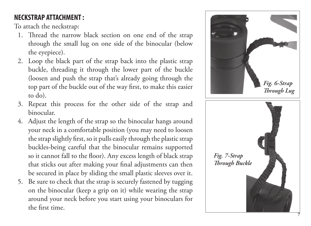# **NECKSTRAP ATTACHMENT :**

To attach the neckstrap:

- 1. Thread the narrow black section on one end of the strap through the small lug on one side of the binocular (below the eyepiece).
- 2. Loop the black part of the strap back into the plastic strap buckle, threading it through the lower part of the buckle (loosen and push the strap that's already going through the top part of the buckle out of the way first, to make this easier to do).
- 3. Repeat this process for the other side of the strap and binocular.
- 4. Adjust the length of the strap so the binocular hangs around your neck in a comfortable position (you may need to loosen the strap slightly first, so it pulls easily through the plastic strap buckles-being careful that the binocular remains supported so it cannot fall to the floor). Any excess length of black strap that sticks out after making your final adjustments can then be secured in place by sliding the small plastic sleeves over it.
- 5. Be sure to check that the strap is securely fastened by tugging on the binocular (keep a grip on it) while wearing the strap around your neck before you start using your binoculars for the first time.

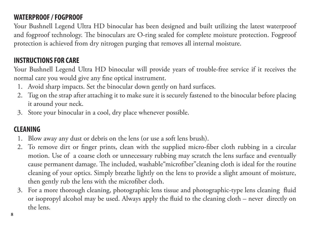# **WATERPROOF / FOGPROOF**

Your Bushnell Legend Ultra HD binocular has been designed and built utilizing the latest waterproof and fogproof technology. The binoculars are O-ring sealed for complete moisture protection. Fogproof protection is achieved from dry nitrogen purging that removes all internal moisture.

# **INSTRUCTIONS FOR CARE**

Your Bushnell Legend Ultra HD binocular will provide years of trouble-free service if it receives the normal care you would give any fine optical instrument.

- 1. Avoid sharp impacts. Set the binocular down gently on hard surfaces.
- 2. Tug on the strap after attaching it to make sure it is securely fastened to the binocular before placing it around your neck.
- 3. Store your binocular in a cool, dry place whenever possible.

# **CLEANING**

- 1. Blow away any dust or debris on the lens (or use a soft lens brush).
- 2. To remove dirt or finger prints, clean with the supplied micro-fiber cloth rubbing in a circular motion. Use of a coarse cloth or unnecessary rubbing may scratch the lens surface and eventually cause permanent damage. The included, washable"microfiber"cleaning cloth is ideal for the routine cleaning of your optics. Simply breathe lightly on the lens to provide a slight amount of moisture, then gently rub the lens with the microfiber cloth.
- 3. For a more thorough cleaning, photographic lens tissue and photographic-type lens cleaning fluid or isopropyl alcohol may be used. Always apply the fluid to the cleaning cloth – never directly on the lens.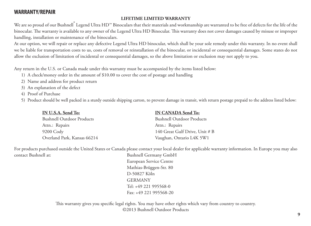#### **WARRANTY/REPAIR**

#### **LIFETIME LIMITED WARRANTY**

We are so proud of our Bushnell® Legend Ultra HD™ Binoculars that their materials and workmanship are warranted to be free of defects for the life of the binocular. The warranty is available to any owner of the Legend Ultra HD Binocular. This warranty does not cover damages caused by misuse or improper handling, installation or maintenance of the binoculars.

At our option, we will repair or replace any defective Legend Ultra HD binocular, which shall be your sole remedy under this warranty. In no event shall we be liable for transportation costs to us, costs of removal or reinstallation of the binocular, or incidental or consequential damages. Some states do not allow the exclusion of limitation of incidental or consequential damages, so the above limitation or exclusion may not apply to you.

Any return in the U.S. or Canada made under this warranty must be accompanied by the items listed below:

- 1) A check/money order in the amount of \$10.00 to cover the cost of postage and handling
- 2) Name and address for product return
- 3) An explanation of the defect
- 4) Proof of Purchase
- 5) Product should be well packed in a sturdy outside shipping carton, to prevent damage in transit, with return postage prepaid to the address listed below:

| IN U.S.A. Send To:               | IN CANADA Send To:               |
|----------------------------------|----------------------------------|
| <b>Bushnell Outdoor Products</b> | <b>Bushnell Outdoor Products</b> |
| Attn.: Repairs                   | Attn.: Repairs                   |
| $9200$ Cody                      | 140 Great Gulf Drive, Unit # B   |
| Overland Park, Kansas 66214      | Vaughan, Ontario L4K 5W1         |

For products purchased outside the United States or Canada please contact your local dealer for applicable warranty information. In Europe you may also contact Bushnell at: Bushnell Germany GmbH

 European Service Centre Mathias-Brüggen-Str. 80 D-50827 Köln GERMANY Tel: +49 221 995568-0 Fax: +49 221 995568-20

This warranty gives you specific legal rights. You may have other rights which vary from country to country. ©2013 Bushnell Outdoor Products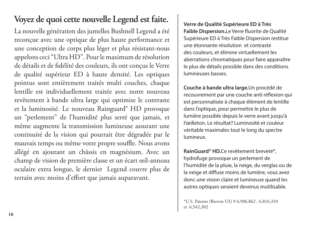# **Voyez de quoi cette nouvelle Legend est faite.**

La nouvelle génération des jumelles Bushnell Legend a été reconçue avec une optique de plus haute performance et une conception de corps plus léger et plus résistant-nous appelons ceci "Ultra HD". Pour le maximum de résolution de détails et de fidélité des couleurs, ils ont conçus le Verre de qualité supérieur ED à haute densité. Les optiques pointus sont entièrement traités multi couches, chaque lentille est individuellement traitée avec notre nouveau revêtement à bande ultra large qui optimise le contraste et la luminosité. Le nouveau Rainguard® HD provoque un "perlement" de l'humidité plus serré que jamais, et même augmente la transmission lumineuse assurant une continuité de la vision qui pourrait être dégradée par le mauvais temps ou même votre propre souffle. Nous avons allégé en ajoutant un châssis en magnésium. Avec un champ de vision de première classe et un écart œil-anneau oculaire extra longue, le dernier Legend couvre plus de terrain avec moins d'effort que jamais auparavant.

**Verre de Qualité Supérieure ED à Très Faible Dispersion.**Le Verre fluorite de Qualité Supérieure ED à Très Faible Dispersion restitue une étonnante résolution et contraste des couleurs, et élimine virtuellement les aberrations chromatiques pour faire apparaître le plus de détails possible dans des conditions lumineuses basses.

**Couche à bande ultra large.**Un procédé de recouvrement par une couche anti réflexion qui est personnalisée à chaque élément de lentille dans l'optique, pour permettre le plus de lumière possible depuis le verre avant jusqu'à l'œilleton. Le résultat? Luminosité et couleur véritable maximales tout le long du spectre lumineux.

**RainGuard® HD.**Ce revêtement breveté\*, hydrofuge provoque un perlement de l'humidité de la pluie, la neige, du verglas ou de la neige et diffuse moins de lumière, vous avez donc une vision claire et lumineuse quand les autres optiques seraient devenus inutilisable.

\*U.S. Patents (Brevets US) # 6,906,862 , 6,816,310 et 6,542,302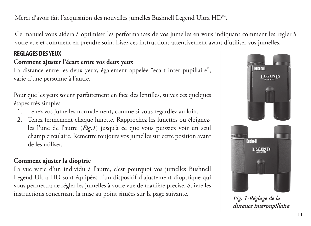Merci d'avoir fait l'acquisition des nouvelles jumelles Bushnell Legend Ultra HD™.

Ce manuel vous aidera à optimiser les performances de vos jumelles en vous indiquant comment les régler à votre vue et comment en prendre soin. Lisez ces instructions attentivement avant d'utiliser vos jumelles.

# **REGLAGES DES YEUX**

#### **Comment ajuster l'écart entre vos deux yeux**

La distance entre les deux yeux, également appelée "écart inter pupillaire", varie d'une personne à l'autre.

Pour que les yeux soient parfaitement en face des lentilles, suivez ces quelques étapes très simples :

- 1. Tenez vos jumelles normalement, comme si vous regardiez au loin.
- 2. Tenez fermement chaque lunette. Rapprochez les lunettes ou éloignezles l'une de l'autre (*Fig.1*) jusqu'à ce que vous puissiez voir un seul champ circulaire. Remettre toujours vos jumelles sur cette position avant de les utiliser.

### **Comment ajuster la dioptrie**

La vue varie d'un individu à l'autre, c'est pourquoi vos jumelles Bushnell Legend Ultra HD sont équipées d'un dispositif d'ajustement dioptrique qui vous permettra de régler les jumelles à votre vue de manière précise. Suivre les instructions concernant la mise au point situées sur la page suivante. *Fig. 1-Réglage de la* 



*distance interpupillaire*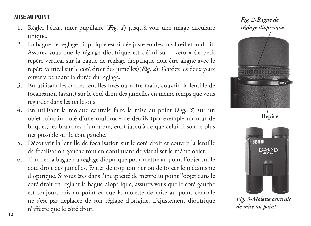#### **MISE AU POINT**

- 1. Régler l'écart inter pupillaire (*Fig. 1*) jusqu'à voir une image circulaire unique.
- 2. La bague de réglage dioptrique est située juste en dessous l'œilleton droit. Assurez-vous que le réglage dioptrique est défini sur « zéro » (le petit repère vertical sur la bague de réglage dioptrique doit être aligné avec le repère vertical sur le côté droit des jumelles)(*Fig. 2*). Gardez les deux yeux ouverts pendant la durée du réglage.
- 3. En utilisant les caches lentilles fixés ou votre main, couvrir la lentille de focalisation (avant) sur le coté droit des jumelles en même temps que vous regarder dans les œilletons.
- 4. En utilisant la molette centrale faire la mise au point (*Fig. 3*) sur un objet lointain doté d'une multitude de détails (par exemple un mur de briques, les branches d'un arbre, etc.) jusqu'à ce que celui-ci soit le plus net possible sur le coté gauche.
- 5. Découvrir la lentille de focalisation sur le coté droit et couvrir la lentille de focalisation gauche tout en continuant de visualiser le même objet.
- 6. Tourner la bague du réglage dioptrique pour mettre au point l'objet sur le coté droit des jumelles. Eviter de trop tourner ou de forcer le mécanisme dioptrique. Si vous êtes dans l'incapacité de mettre au point l'objet dans le coté droit en réglant la bague dioptrique, assurez vous que le coté gauche est toujours mis au point et que la molette de mise au point centrale ne s'est pas déplacée de son réglage d'origine. L'ajustement dioptrique n'affecte que le côté droit.



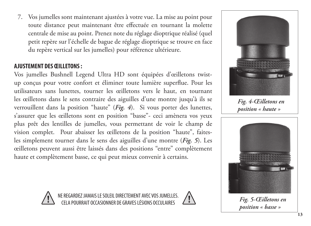7. Vos jumelles sont maintenant ajustées à votre vue. La mise au point pour toute distance peut maintenant être effectuée en tournant la molette centrale de mise au point. Prenez note du réglage dioptrique réalisé (quel petit repère sur l'échelle de bague de réglage dioptrique se trouve en face du repère vertical sur les jumelles) pour référence ultérieure.

# **AJUSTEMENT DES ŒILLETONS :**

Vos jumelles Bushnell Legend Ultra HD sont équipées d'œilletons twistup conçus pour votre confort et éliminer toute lumière superflue. Pour les utilisateurs sans lunettes, tourner les œilletons vers le haut, en tournant les œilletons dans le sens contraire des aiguilles d'une montre jusqu'à ils se verrouillent dans la position "haute" (*Fig. 4*). Si vous porter des lunettes, s'assurer que les œilletons sont en position "basse"- ceci amènera vos yeux plus prêt des lentilles de jumelles, vous permettant de voir le champ de vision complet. Pour abaisser les œilletons de la position "haute", faitesles simplement tourner dans le sens des aiguilles d'une montre (*Fig. 5*). Les œilletons peuvent aussi être laissés dans des positions "entre" complètement haute et complètement basse, ce qui peut mieux convenir à certains.



*Fig. 4-Œilletons en position « haute »*



*Fig. 5-Œilletons en position « basse »*



NE REGARDEZ JAMAIS LE SOLEIL DIRECTEMENT AVEC VOS JUMELLES. CELA POURRAIT OCCASIONNER DE GRAVES LÉSIONS OCCULAIRES

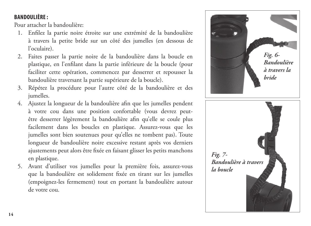#### **bandoulière :**

Pour attacher la bandoulière:

- 1. Enfilez la partie noire étroite sur une extrémité de la bandoulière à travers la petite bride sur un côté des jumelles (en dessous de l'oculaire).
- 2. Faites passer la partie noire de la bandoulière dans la boucle en plastique, en l'enfilant dans la partie inférieure de la boucle (pour faciliter cette opération, commencez par desserrer et repousser la bandoulière traversant la partie supérieure de la boucle).
- 3. Répétez la procédure pour l'autre côté de la bandoulière et des jumelles.
- 4. Ajustez la longueur de la bandoulière afin que les jumelles pendent à votre cou dans une position confortable (vous devrez peutêtre desserrer légèrement la bandoulière afin qu'elle se coule plus facilement dans les boucles en plastique. Assurez-vous que les jumelles sont bien soutenues pour qu'elles ne tombent pas). Toute longueur de bandoulière noire excessive restant après vos derniers ajustements peut alors être fixée en faisant glisser les petits manchons en plastique.
- 5. Avant d'utiliser vos jumelles pour la première fois, assurez-vous que la bandoulière est solidement fixée en tirant sur les jumelles (empoignez-les fermement) tout en portant la bandoulière autour de votre cou.

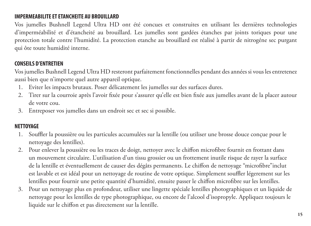#### **IMPERMEABILITE ET ETANCHEITE AU BROUILLARD**

Vos jumelles Bushnell Legend Ultra HD ont été concues et construites en utilisant les dernières technologies d'imperméabilité et d'étancheité au brouillard. Les jumelles sont gardées étanches par joints toriques pour une protection totale contre l'humidité. La protection etanche au brouillard est réalisé à partir de nitrogéne sec purgant qui ôte toute humidité interne.

#### **CONSEILS D'ENTRETIEN**

Vos jumelles Bushnell Legend Ultra HD resteront parfaitement fonctionnelles pendant des années si vous les entretenez aussi bien que n'importe quel autre appareil optique.

- 1. Eviter les impacts brutaux. Poser délicatement les jumelles sur des surfaces dures.
- 2. Tirer sur la courroie après l'avoir fixée pour s'assurer qu'elle est bien fixée aux jumelles avant de la placer autour de votre cou.
- 3. Entreposer vos jumelles dans un endroit sec et sec si possible.

#### **NETTOYAGE**

- 1. Souffler la poussière ou les particules accumulées sur la lentille (ou utiliser une brosse douce conçue pour le nettoyage des lentilles).
- 2. Pour enlever la poussière ou les traces de doigt, nettoyer avec le chiffon microfibre fournit en frottant dans un mouvement circulaire. L'utilisation d'un tissu grossier ou un frottement inutile risque de rayer la surface de la lentille et éventuellement de causer des dégâts permanents. Le chiffon de nettoyage "microfibre"inclut est lavable et est idéal pour un nettoyage de routine de votre optique. Simplement souffler légerement sur les lentilles pour fournir une petite quantité d'humidité, ensuite passer le chiffon microfibre sur les lentilles.
- 3. Pour un nettoyage plus en profondeur, utiliser une lingette spéciale lentilles photographiques et un liquide de nettoyage pour les lentilles de type photographique, ou encore de l'alcool d'isopropyle. Appliquez toujours le liquide sur le chiffon et pas directement sur la lentille.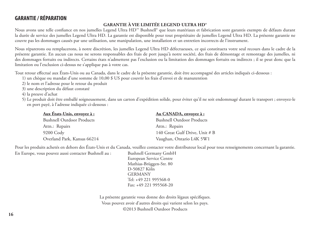#### **GARANTIE / RÉPARATION**

#### **GARANTIE À VIE LIMITÉE Legend Ultra HD®**

Nous avons une telle confiance en nos jumelles Legend Ultra HD™ Bushnell® que leurs matériaux et fabrication sont garantis exempts de défauts durant la durée de service des jumelles Legend Ultra HD. La garantie est disponible pour tout propriétaire de jumelles Legend Ultra HD. La présente garantie ne couvre pas les dommages causés par une utilisation, une manipulation, une installation et un entretien incorrects de l'instrument.

Nous réparerons ou remplacerons, à notre discrétion, les jumelles Legend Ultra HD défectueuses, ce qui constituera votre seul recours dans le cadre de la présente garantie. En aucun cas nous ne serons responsables des frais de port jusqu'à notre société, des frais de démontage et remontage des jumelles, ni des dommages fortuits ou indirects. Certains états n'admettent pas l'exclusion ou la limitation des dommages fortuits ou indirects ; il se peut donc que la limitation ou l'exclusion ci-dessus ne s'applique pas à votre cas.

Tout retour effectué aux États-Unis ou au Canada, dans le cadre de la présente garantie, doit être accompagné des articles indiqués ci-dessous :

- 1) un chèque ou mandat d'une somme de 10,00 \$ US pour couvrir les frais d'envoi et de manutention
- 2) le nom et l'adresse pour le retour du produit
- 3) une description du défaut constaté
- 4) la preuve d'achat
- 5) Le produit doit être emballé soigneusement, dans un carton d'expédition solide, pour éviter qu'il ne soit endommagé durant le transport ; envoyez-le en port payé, à l'adresse indiquée ci-dessous :

| Aux États-Unis, envoyez à :      | Au CANADA, envoyez à :           |
|----------------------------------|----------------------------------|
| <b>Bushnell Outdoor Products</b> | <b>Bushnell Outdoor Products</b> |
| Attn.: Repairs                   | Attn.: Repairs                   |
| 9200 Cody                        | 140 Great Gulf Drive, Unit # B   |
| Overland Park, Kansas 66214      | Vaughan, Ontario L4K 5W1         |

Pour les produits achetés en dehors des États-Unis et du Canada, veuillez contacter votre distributeur local pour tous renseignements concernant la garantie.

En Europe, vous pouvez aussi contacter Bushnell au : Bushnell Germany GmbH

 European Service Centre Mathias-Brüggen-Str. 80 D-50827 Köln GERMANY Tel: +49 221 995568-0 Fax: +49 221 995568-20

La présente garantie vous donne des droits légaux spécifiques. Vous pouvez avoir d'autres droits qui varient selon les pays. ©2013 Bushnell Outdoor Products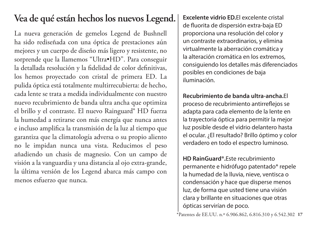# **Vea de qué están hechos los nuevos Legend.**

La nueva generación de gemelos Legend de Bushnell ha sido rediseñada con una óptica de prestaciones aún mejores y un cuerpo de diseño más ligero y resistente, no sorprende que la llamemos "Ultra•HD". Para conseguir la detallada resolución y la fidelidad de color definitivas, los hemos proyectado con cristal de primera ED. La pulida óptica está totalmente multirrecubierta: de hecho, cada lente se trata a medida individualmente con nuestro nuevo recubrimiento de banda ultra ancha que optimiza el brillo y el contraste. El nuevo Rainguard® HD fuerza la humedad a retirarse con más energía que nunca antes e incluso amplifica la transmisión de la luz al tiempo que garantiza que la climatología adversa o su propio aliento no le impidan nunca una vista. Reducimos el peso añadiendo un chasis de magnesio. Con un campo de visión a la vanguardia y una distancia al ojo extra-grande, la última versión de los Legend abarca más campo con menos esfuerzo que nunca.

**Excelente vidrio ED.**El excelente cristal de fluorita de dispersión extra-baja ED proporciona una resolución del color y un contraste extraordinarios, y elimina virtualmente la aberración cromática y la alteración cromática en los extremos, consiguiendo los detalles más diferenciados posibles en condiciones de baja iluminación.

**Recubrimiento de banda ultra-ancha.**El proceso de recubrimiento antirreflejos se adapta para cada elemento de la lente en la trayectoria óptica para permitir la mejor luz posible desde el vidrio delantero hasta el ocular. ¿El resultado? Brillo óptimo y color verdadero en todo el espectro luminoso.

**HD RainGuard®.**Este recubrimiento permanente e hidrófugo patentado\* repele la humedad de la lluvia, nieve, ventisca o condensación y hace que disperse menos luz, de forma que usted tiene una visión clara y brillante en situaciones que otras ópticas servirían de poco.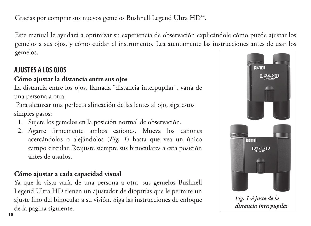Gracias por comprar sus nuevos gemelos Bushnell Legend Ultra HD™.

Este manual le ayudará a optimizar su experiencia de observación explicándole cómo puede ajustar los gemelos a sus ojos, y cómo cuidar el instrumento. Lea atentamente las instrucciones antes de usar los gemelos.

# **AJUSTES A LOS OJOS**

# **Cómo ajustar la distancia entre sus ojos**

La distancia entre los ojos, llamada "distancia interpupilar", varía de una persona a otra.

 Para alcanzar una perfecta alineación de las lentes al ojo, siga estos simples pasos:

- 1. Sujete los gemelos en la posición normal de observación.
- 2. Agarre firmemente ambos cañones. Mueva los cañones acercándolos o alejándolos (*Fig. 1*) hasta que vea un único campo circular. Reajuste siempre sus binoculares a esta posición antes de usarlos.

# **Cómo ajustar a cada capacidad visual**

Ya que la vista varía de una persona a otra, sus gemelos Bushnell Legend Ultra HD tienen un ajustador de dioptrías que le permite un ajuste fino del binocular a su visión. Siga las instrucciones de enfoque de la página siguiente.



*Fig. 1-Ajuste de la distancia interpupilar*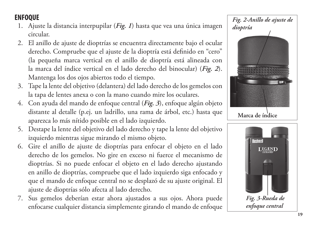# **ENFOQUE**

- 1. Ajuste la distancia interpupilar (*Fig. 1*) hasta que vea una única imagen circular.
- 2. El anillo de ajuste de dioptrías se encuentra directamente bajo el ocular derecho. Compruebe que el ajuste de la dioptría está definido en "cero" (la pequeña marca vertical en el anillo de dioptría está alineada con la marca del índice vertical en el lado derecho del binocular) (*Fig. 2*). Mantenga los dos ojos abiertos todo el tiempo.
- 3. Tape la lente del objetivo (delantera) del lado derecho de los gemelos con la tapa de lentes anexa o con la mano cuando mire los oculares.
- 4. Con ayuda del mando de enfoque central (*Fig. 3*), enfoque algún objeto distante al detalle (p.ej. un ladrillo, una rama de árbol, etc.) hasta que aparezca lo más nítido posible en el lado izquierdo.
- 5. Destape la lente del objetivo del lado derecho y tape la lente del objetivo izquierdo mientras sigue mirando el mismo objeto.
- 6. Gire el anillo de ajuste de dioptrías para enfocar el objeto en el lado derecho de los gemelos. No gire en exceso ni fuerce el mecanismo de dioptrías. Si no puede enfocar el objeto en el lado derecho ajustando en anillo de dioptrías, compruebe que el lado izquierdo siga enfocado y que el mando de enfoque central no se desplazó de su ajuste original. El ajuste de dioptrías sólo afecta al lado derecho.
- 7. Sus gemelos deberían estar ahora ajustados a sus ojos. Ahora puede enfocarse cualquier distancia simplemente girando el mando de enfoque



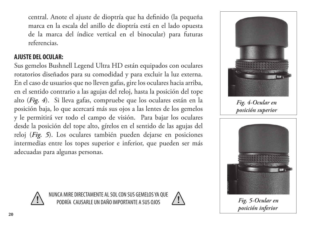central. Anote el ajuste de dioptría que ha definido (la pequeña marca en la escala del anillo de dioptría está en el lado opuesta de la marca del índice vertical en el binocular) para futuras referencias.

# **AJUSTE DEL OCULAR:**

Sus gemelos Bushnell Legend Ultra HD están equipados con oculares rotatorios diseñados para su comodidad y para excluir la luz externa. En el caso de usuarios que no lleven gafas, gire los oculares hacia arriba, en el sentido contrario a las agujas del reloj, hasta la posición del tope alto (*Fig. 4*). Si lleva gafas, compruebe que los oculares están en la posición baja, lo que acercará más sus ojos a las lentes de los gemelos y le permitirá ver todo el campo de visión. Para bajar los oculares desde la posición del tope alto, gírelos en el sentido de las agujas del reloj (*Fig. 5*). Los oculares también pueden dejarse en posiciones intermedias entre los topes superior e inferior, que pueden ser más adecuadas para algunas personas.



*Fig. 4-Ocular en posición superior*



*Fig. 5-Ocular en posición inferior*



NUNCA MIRE DIRECTAMENTE AL SOL CON SUS GEMELOS YA QUE PODRÍA CAUSARLE UN DAÑO IMPORTANTE A SUS OJOS

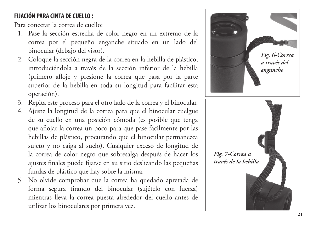# **FIJACIÓN PARA CINTA DE CUELLO :**

Para conectar la correa de cuello:

- 1. Pase la sección estrecha de color negro en un extremo de la correa por el pequeño enganche situado en un lado del binocular (debajo del visor).
- 2. Coloque la sección negra de la correa en la hebilla de plástico, introduciéndola a través de la sección inferior de la hebilla (primero afloje y presione la correa que pasa por la parte superior de la hebilla en toda su longitud para facilitar esta operación).
- 3. Repita este proceso para el otro lado de la correa y el binocular.
- 4. Ajuste la longitud de la correa para que el binocular cuelgue de su cuello en una posición cómoda (es posible que tenga que aflojar la correa un poco para que pase fácilmente por las hebillas de plástico, procurando que el binocular permanezca sujeto y no caiga al suelo). Cualquier exceso de longitud de la correa de color negro que sobresalga después de hacer los ajustes finales puede fijarse en su sitio deslizando las pequeñas fundas de plástico que hay sobre la misma.
- 5. No olvide comprobar que la correa ha quedado apretada de forma segura tirando del binocular (sujételo con fuerza) mientras lleva la correa puesta alrededor del cuello antes de utilizar los binoculares por primera vez.

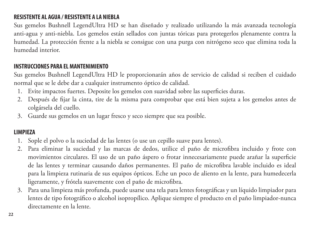# **RESISTENTE AL AGUA / RESISTENTE A LA NIEBLA**

Sus gemelos Bushnell LegendUltra HD se han diseñado y realizado utilizando la más avanzada tecnología anti-agua y anti-niebla. Los gemelos están sellados con juntas tóricas para protegerlos plenamente contra la humedad. La protección frente a la niebla se consigue con una purga con nitrógeno seco que elimina toda la humedad interior.

#### **INSTRUCCIONES PARA EL MANTENIMIENTO**

Sus gemelos Bushnell LegendUltra HD le proporcionarán años de servicio de calidad si reciben el cuidado normal que se le debe dar a cualquier instrumento óptico de calidad.

- 1. Evite impactos fuertes. Deposite los gemelos con suavidad sobre las superficies duras.
- 2. Después de fijar la cinta, tire de la misma para comprobar que está bien sujeta a los gemelos antes de colgársela del cuello.
- 3. Guarde sus gemelos en un lugar fresco y seco siempre que sea posible.

#### **LIMPIEZA**

- 1. Sople el polvo o la suciedad de las lentes (o use un cepillo suave para lentes).
- 2. Para eliminar la suciedad y las marcas de dedos, utilice el paño de microfibra incluido y frote con movimientos circulares. El uso de un paño áspero o frotar innecesariamente puede arañar la superficie de las lentes y terminar causando daños permanentes. El paño de microfibra lavable incluido es ideal para la limpieza rutinaria de sus equipos ópticos. Eche un poco de aliento en la lente, para humedecerla ligeramente, y frótela suavemente con el paño de microfibra.
- 3. Para una limpieza más profunda, puede usarse una tela para lentes fotográficas y un líquido limpiador para lentes de tipo fotográfico o alcohol isopropílico. Aplique siempre el producto en el paño limpiador-nunca directamente en la lente.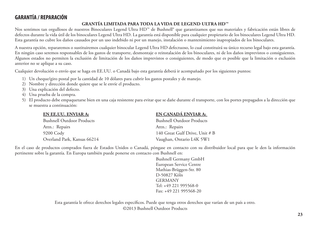#### **GARANTÍA / REPARACIÓN**

#### **GRANTÍA LIMITADA PARA TODA LA VIDA DE Legend Ultra HD™**

Nos sentimos tan orgullosos de nuestros Binoculares Legend Ultra HD™ de Bushnell® que garantizamos que sus materiales y fabricación están libres de defectos durante la vida útil de los binoculares Legend Ultra HD. La garantía está disponible para cualquier propietario de los binoculares Legend Ultra HD. Esta garantía no cubre los daños causados por un uso indebido ni por un manejo, instalación o mantenimiento inapropiados de los binoculares.

A nuestra opción, repararemos o sustituiremos cualquier binocular Legend Ultra HD defectuoso, lo cual constituirá su único recurso legal bajo esta garantía. En ningún caso seremos responsables de los gastos de transporte, desmontaje o reinstalación de los binoculares, ni de los daños imprevistos o consiguientes. Algunos estados no permiten la exclusión de limitación de los daños imprevistos o consiguientes, de modo que es posible que la limitación o exclusión anterior no se aplique a su caso.

Cualquier devolución o envío que se haga en EE.UU. o Canadá bajo esta garantía deberá ir acompañado por los siguientes puntos:

- 1) Un cheque/giro postal por la cantidad de 10 dólares para cubrir los gastos postales y de manejo.
- 2) Nombre y dirección donde quiere que se le envíe el producto.
- 3) Una explicación del defecto.
- 4) Una prueba de la compra.
- 5) El producto debe empaquetarse bien en una caja resistente para evitar que se dañe durante el transporte, con los portes prepagados a la dirección que se muestra a continuación:

| EN EE.UU. ENVIAR A:              | EN CANADA ENVIAR A:              |
|----------------------------------|----------------------------------|
| <b>Bushnell Outdoor Products</b> | <b>Bushnell Outdoor Products</b> |
| Attn.: Repairs                   | Attn.: Repairs                   |
| $9200$ Cody                      | 140 Great Gulf Drive, Unit # B   |
| Overland Park, Kansas 66214      | Vaughan, Ontario L4K 5W1         |

En el caso de productos comprados fuera de Estados Unidos o Canadá, póngase en contacto con su distribuidor local para que le den la información pertinente sobre la garantía. En Europa también puede ponerse en contacto con Bushnell en:

> Bushnell Germany GmbH European Service Centre Mathias-Brüggen-Str. 80 D-50827 Köln GERMANY Tel: +49 221 995568-0 Fax: +49 221 995568-20

Esta garantía le ofrece derechos legales específicos. Puede que tenga otros derechos que varían de un país a otro. ©2013 Bushnell Outdoor Products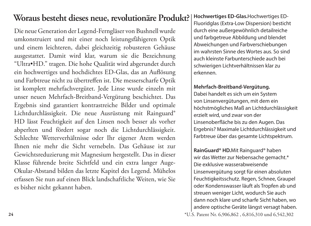# **Woraus besteht dieses neue, revolutionäre Produkt?**

Die neue Generation der Legend-Ferngläser von Bushnell wurde umkonstruiert und mit einer noch leistungsfähigeren Optik und einem leichteren, dabei gleichzeitig robusteren Gehäuse ausgestattet. Damit wird klar, warum sie die Bezeichnung "Ultra•HD." tragen. Die hohe Qualität wird abgerundet durch ein hochwertiges und hochdichtes ED-Glas, das an Auflösung und Farbtreue nicht zu übertreffen ist. Die messerscharfe Optik ist komplett mehrfachvergütet. Jede Linse wurde einzeln mit unser neuen Mehrfach-Breitband-Vergütung beschichtet. Das Ergebnis sind garantiert kontrastreiche Bilder und optimale Lichtdurchlässigkeit. Die neue Ausrüstung mit Rainguard® HD lässt Feuchtigkeit auf den Linsen noch besser als vorher abperlten und fördert sogar noch die Lichtdurchlässigkeit. Schlechte Wetterverhältnisse oder Ihr eigener Atem werden Ihnen nie mehr die Sicht vernebeln. Das Gehäuse ist zur Gewichtsreduzierung mit Magnesium hergestellt. Das in dieser Klasse führende breite Sichtfeld und ein extra langer Auge-Okular-Abstand bilden das letzte Kapitel des Legend. Mühelos erfassen Sie nun auf einen Blick landschaftliche Weiten, wie Sie es bisher nicht gekannt haben.

**Hochwertiges ED-Glas.**Hochwertiges ED-Fluoridglas (Extra-Low Dispersion) besticht durch eine außergewöhnlich detailreiche und farbgetreue Abbildung und blendet Abweichungen und Farbverschiebungen im wahrsten Sinne des Wortes aus. So sind auch kleinste Farbunterschiede auch bei schwierigen Lichtverhältnissen klar zu erkennen.

#### **Mehrfach-Breitband-Vergütung.**

Dabei handelt es sich um ein System von Linsenvergütungen, mit dem ein höchstmögliches Maß an Lichtdurchlässigkeit erzielt wird, und zwar von der Linsenoberfläche bis zu den Augen. Das Ergebnis? Maximale Lichtdurchlässigkeit und Farbtreue über das gesamte Lichtspektrum.

**RainGuard® HD.**Mit Rainguard® haben wir das Wetter zur Nebensache gemacht.\* Die exklusive wasserabweisende Linsenvergütung sorgt für einen absoluten Feuchtigkeitsschutz. Regen, Schnee, Graupel oder Kondenswasser läuft als Tropfen ab und streuen weniger Licht, wodurch Sie auch dann noch klare und scharfe Sicht haben, wo andere optische Geräte längst versagt haben.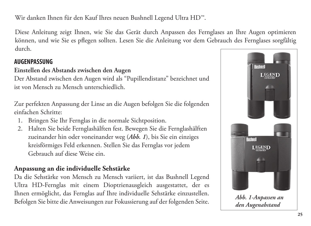Wir danken Ihnen für den Kauf Ihres neuen Bushnell Legend Ultra HD™.

Diese Anleitung zeigt Ihnen, wie Sie das Gerät durch Anpassen des Fernglases an Ihre Augen optimieren können, und wie Sie es pflegen sollten. Lesen Sie die Anleitung vor dem Gebrauch des Fernglases sorgfältig durch.

#### **AUGENPASSUNG**

#### **Einstellen des Abstands zwischen den Augen**

Der Abstand zwischen den Augen wird als "Pupillendistanz" bezeichnet und ist von Mensch zu Mensch unterschiedlich.

Zur perfekten Anpassung der Linse an die Augen befolgen Sie die folgenden einfachen Schritte:

- 1. Bringen Sie Ihr Fernglas in die normale Sichtposition.
- 2. Halten Sie beide Fernglashälften fest. Bewegen Sie die Fernglashälften zueinander hin oder voneinander weg (*Abb. 1*), bis Sie ein einziges kreisförmiges Feld erkennen. Stellen Sie das Fernglas vor jedem Gebrauch auf diese Weise ein.

### **Anpassung an die individuelle Sehstärke**

Da die Sehstärke von Mensch zu Mensch variiert, ist das Bushnell Legend Ultra HD-Fernglas mit einem Dioptrienausgleich ausgestattet, der es Ihnen ermöglicht, das Fernglas auf Ihre individuelle Sehstärke einzustellen. Befolgen Sie bitte die Anweisungen zur Fokussierung auf der folgenden Seite. *Abb. 1-Anpassen an* 



*den Augenabstand*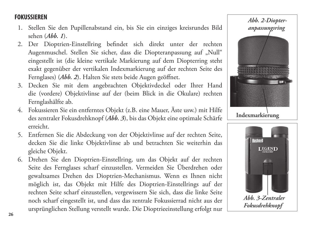#### **FOKUSSIEREN**

- 1. Stellen Sie den Pupillenabstand ein, bis Sie ein einziges kreisrundes Bild sehen (*Abb. 1*).
- 2. Der Dioptrien-Einstellring befindet sich direkt unter der rechten Augenmuschel. Stellen Sie sicher, dass die Diopteranpassung auf "Null" eingestellt ist (die kleine vertikale Markierung auf dem Diopterring steht exakt gegenüber der vertikalen Indexmarkierung auf der rechten Seite des Fernglases) (*Abb. 2*). Halten Sie stets beide Augen geöffnet.
- 3. Decken Sie mit dem angebrachten Objektivdeckel oder Ihrer Hand die (vordere) Objektivlinse auf der (beim Blick in die Okulare) rechten Fernglashälfte ab.
- 4. Fokussieren Sie ein entferntes Objekt (z.B. eine Mauer, Äste usw.) mit Hilfe des zentraler Fokusdrehknopf (*Abb. 3*), bis das Objekt eine optimale Schärfe erreicht.
- 5. Entfernen Sie die Abdeckung von der Objektivlinse auf der rechten Seite, decken Sie die linke Objektivlinse ab und betrachten Sie weiterhin das gleiche Objekt.
- 6. Drehen Sie den Dioptrien-Einstellring, um das Objekt auf der rechten Seite des Fernglases scharf einzustellen. Vermeiden Sie Überdrehen oder gewaltsames Drehen des Dioptrien-Mechanismus. Wenn es Ihnen nicht möglich ist, das Objekt mit Hilfe des Dioptrien-Einstellrings auf der rechten Seite scharf einzustellen, vergewissern Sie sich, dass die linke Seite noch scharf eingestellt ist, und dass das zentrale Fokussierrad nicht aus der ursprünglichen Stellung verstellt wurde. Die Dioptrieeinstellung erfolgt nur



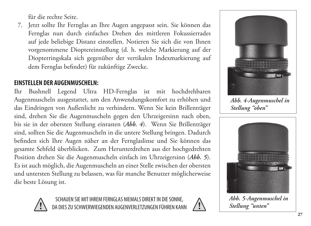für die rechte Seite.

7. Jetzt sollte Ihr Fernglas an Ihre Augen angepasst sein. Sie können das Fernglas nun durch einfaches Drehen des mittleren Fokussierrades auf jede beliebige Distanz einstellen. Notieren Sie sich die von Ihnen vorgenommene Dioptereinstellung (d. h. welche Markierung auf der Diopterringskala sich gegenüber der vertikalen Indexmarkierung auf dem Fernglas befindet) für zukünftige Zwecke.

# **EINSTELLEN DER AUGENMUSCHELN:**

Ihr Bushnell Legend Ultra HD-Fernglas ist mit hochdrehbaren Augenmuscheln ausgestattet, um den Anwendungskomfort zu erhöhen und das Eindringen von Außenlicht zu verhindern. Wenn Sie kein Brillenträger sind, drehen Sie die Augenmuscheln gegen den Uhrzeigersinn nach oben, bis sie in der obersten Stellung einrasten (*Abb. 4*). Wenn Sie Brillenträger sind, sollten Sie die Augenmuscheln in die untere Stellung bringen. Dadurch befinden sich Ihre Augen näher an der Fernglaslinse und Sie können das gesamte Sehfeld überblicken. Zum Herunterdrehen aus der hochgedrehten Position drehen Sie die Augenmuscheln einfach im Uhrzeigersinn (*Abb. 5*). Es ist auch möglich, die Augenmuscheln an einer Stelle zwischen der obersten und untersten Stellung zu belassen, was für manche Benutzer möglicherweise die beste Lösung ist.



SCHAUEN SIE MIT IHREM FERNGLAS NIEMALS DIREKT IN DIE SONNE DA DIES ZU SCHWERWIEGENDEN AUGENVERLETZUNGEN FÜHREN KANN





*Abb. 4-Augenmuschel in Stellung "oben"*



*Abb. 5-Augenmuschel in Stellung "unten"*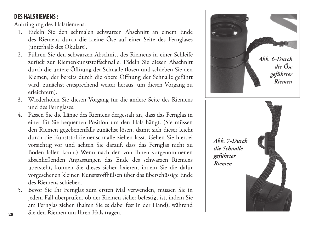#### **DES HALSRIEMENS :**

Anbringung des Halsriemens:

- 1. Fädeln Sie den schmalen schwarzen Abschnitt an einem Ende des Riemens durch die kleine Öse auf einer Seite des Fernglases (unterhalb des Okulars).
- 2. Führen Sie den schwarzen Abschnitt des Riemens in einer Schleife zurück zur Riemenkunststoffschnalle. Fädeln Sie diesen Abschnitt durch die untere Öffnung der Schnalle (lösen und schieben Sie den Riemen, der bereits durch die obere Öffnung der Schnalle geführt wird, zunächst entsprechend weiter heraus, um diesen Vorgang zu erleichtern).
- 3. Wiederholen Sie diesen Vorgang für die andere Seite des Riemens und des Fernglases.
- 4. Passen Sie die Länge des Riemens dergestalt an, dass das Fernglas in einer für Sie bequemen Position um den Hals hängt. (Sie müssen den Riemen gegebenenfalls zunächst lösen, damit sich dieser leicht durch die Kunststoffriemenschnalle ziehen lässt. Gehen Sie hierbei vorsichtig vor und achten Sie darauf, dass das Fernglas nicht zu Boden fallen kann.) Wenn nach den von Ihnen vorgenommenen abschließenden Anpassungen das Ende des schwarzen Riemens übersteht, können Sie dieses sicher fixieren, indem Sie die dafür vorgesehenen kleinen Kunststoffhülsen über das überschüssige Ende des Riemens schieben.
- 5. Bevor Sie Ihr Fernglas zum ersten Mal verwenden, müssen Sie in jedem Fall überprüfen, ob der Riemen sicher befestigt ist, indem Sie am Fernglas ziehen (halten Sie es dabei fest in der Hand), während Sie den Riemen um Ihren Hals tragen.

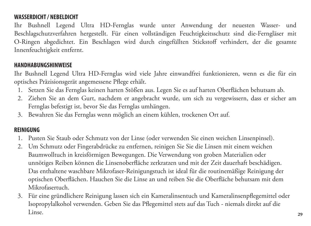### **WASSERDICHT / NEBELDICHT**

Ihr Bushnell Legend Ultra HD-Fernglas wurde unter Anwendung der neuesten Wasser- und Beschlagschutzverfahren hergestellt. Für einen vollständigen Feuchtigkeitsschutz sind die-Ferngläser mit O-Ringen abgedichtet. Ein Beschlagen wird durch eingefüllten Stickstoff verhindert, der die gesamte Innenfeuchtigkeit entfernt.

#### **HANDHABUNGSHINWEISE**

Ihr Bushnell Legend Ultra HD-Fernglas wird viele Jahre einwandfrei funktionieren, wenn es die für ein optisches Präzisionsgerät angemessene Pflege erhält.

- 1. Setzen Sie das Fernglas keinen harten Stößen aus. Legen Sie es auf harten Oberflächen behutsam ab.
- 2. Ziehen Sie an dem Gurt, nachdem er angebracht wurde, um sich zu vergewissern, dass er sicher am Fernglas befestigt ist, bevor Sie das Fernglas umhängen.
- 3. Bewahren Sie das Fernglas wenn möglich an einem kühlen, trockenen Ort auf.

#### **REINIGUNG**

- 1. Pusten Sie Staub oder Schmutz von der Linse (oder verwenden Sie einen weichen Linsenpinsel).
- 2. Um Schmutz oder Fingerabdrücke zu entfernen, reinigen Sie Sie die Linsen mit einem weichen Baumwolltuch in kreisförmigen Bewegungen. Die Verwendung von groben Materialien oder unnötiges Reiben können die Linsenoberfläche zerkratzen und mit der Zeit dauerhaft beschädigen. Das enthaltene waschbare Mikrofaser-Reinigungstuch ist ideal für die routinemäßige Reinigung der optischen Oberflächen. Hauchen Sie die Linse an und reiben Sie die Oberfläche behutsam mit dem Mikrofasertuch.
- 3. Für eine gründlichere Reinigung lassen sich ein Kameralinsentuch und Kameralinsenpflegemittel oder Isopropylalkohol verwenden. Geben Sie das Pflegemittel stets auf das Tuch - niemals direkt auf die Linse.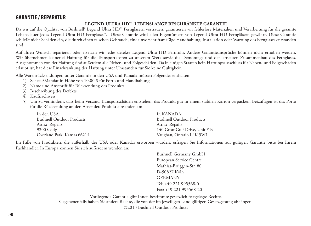#### **GARANTIE / REPARATUR**

#### **Legend Ultra HD™ LEBENSLANGE BESCHRÄNKTE GARANTIE**

Da wir auf die Qualität von Bushnell® Legend Ultra HD™ Ferngläsern vertrauen, garantieren wir fehlerlose Materialien und Verarbeitung für die gesamte Lebensdauer jedes Legend Ultra HD Fernglases\*. Diese Garantie wird allen Eigentümern von Legend Ultra HD Ferngläsern gewährt. Diese Garantie schließt nicht Schäden ein, die durch einen falschen Gebrauch, eine unvorschriftsmäßige Handhabung, Installation oder Wartung des Fernglases entstanden sind.

Auf Ihren Wunsch reparieren oder ersetzen wir jedes defekte Legend Ultra HD Fernrohr. Andere Garantieansprüche können nicht erhoben werden. Wir übernehmen keinerlei Haftung für die Transportkosten zu unserem Werk sowie die Demontage und den erneuten Zusammenbau des Fernglases. Ausgenommen von der Haftung sind außerdem alle Neben- und Folgeschäden. Da in einigen Staaten kein Haftungsausschluss für Neben- und Folgeschäden erlaubt ist, hat diese Einschränkung der Haftung unter Umständen für Sie keine Gültigkeit.

Alle Warenrücksendungen unter Garantie in den USA und Kanada müssen Folgendes enthalten:

- 1) Scheck/Mandat in Höhe von 10,00 \$ für Porto und Handhabung
- 2) Name und Anschrift für Rücksendung des Produkts
- 3) Beschreibung des Defekts
- 4) Kaufnachweis
- 5) Um zu verhindern, dass beim Versand Transportschäden entstehen, das Produkt gut in einem stabilen Karton verpacken. Beizufügen ist das Porto für die Rücksendung an den Absender. Produkt einsenden an:

| In den USA:                      | In KANADA:                       |
|----------------------------------|----------------------------------|
| <b>Bushnell Outdoor Products</b> | <b>Bushnell Outdoor Products</b> |
| Attn.: Repairs                   | Attn.: Repairs                   |
| $9200$ Cody                      | 140 Great Gulf Drive, Unit # B   |
| Overland Park, Kansas 66214      | Vaughan, Ontario L4K 5W1         |

Im Falle von Produkten, die außerhalb der USA oder Kanadas erworben wurden, erfragen Sie Informationen zur gültigen Garantie bitte bei Ihrem Fachhändler. In Europa können Sie sich außerdem wenden an:

> Bushnell Germany GmbH European Service Centre Mathias-Brüggen-Str. 80 D-50827 Köln GERMANY Tel: +49 221 995568-0 Fax: +49 221 995568-20

Vorliegende Garantie gibt Ihnen bestimmte gesetzlich festgelegte Rechte. Gegebenenfalls haben Sie andere Rechte, die von der im jeweiligen Land gültigen Gesetzgebung abhängen.

©2013 Bushnell Outdoor Products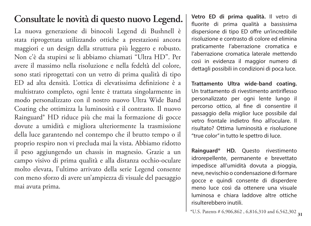# **Consultate le novità di questo nuovo Legend.**

La nuova generazione di binocoli Legend di Bushnell è stata riprogettata utilizzando ottiche a prestazioni ancora maggiori e un design della struttura più leggero e robusto. Non c'è da stupirsi se li abbiamo chiamati "Ultra HD". Per avere il massimo nella risoluzione e nella fedeltà del colore, sono stati riprogettati con un vetro di prima qualità di tipo ED ad alta densità. L'ottica di elevatissima definizione è a multistrato completo, ogni lente è trattata singolarmente in modo personalizzato con il nostro nuovo Ultra Wide Band Coating che ottimizza la luminosità e il contrasto. Il nuovo Rainguard® HD riduce più che mai la formazione di gocce dovute a umidità e migliora ulteriormente la trasmissione della luce garantendo nel contempo che il brutto tempo o il proprio respiro non vi precluda mai la vista. Abbiamo ridotto il peso aggiungendo un chassis in magnesio. Grazie a un campo visivo di prima qualità e alla distanza occhio-oculare molto elevata, l'ultimo arrivato della serie Legend consente con meno sforzo di avere un'ampiezza di visuale del paesaggio mai avuta prima.

**Vetro ED di prima qualità.** Il vetro di fluorite di prima qualità a bassissima dispersione di tipo ED offre un'incredibile risoluzione e contrasto di colore ed elimina praticamente l'aberrazione cromatica e l'aberrazione cromatica laterale mettendo così in evidenza il maggior numero di dettagli possibili in condizioni di poca luce.

**Trattamento Ultra wide-band coating.**  Un trattamento di rivestimento antiriflesso personalizzato per ogni lente lungo il percorso ottico, al fine di consentire il passaggio della miglior luce possibile dal vetro frontale indietro fino all'oculare. Il risultato? Ottima luminosità e risoluzione "true color" in tutto le spettro di luce.

**Rainguard® HD.** Questo rivestimento idrorepellente, permanente e brevettato impedisce all'umidità dovuta a pioggia, neve, nevischio o condensazione di formare gocce e quindi consente di disperdere meno luce così da ottenere una visuale luminosa e chiara laddove altre ottiche risulterebbero inutili.

**31** \*U.S. Patents # 6,906,862 , 6,816,310 and 6,542,302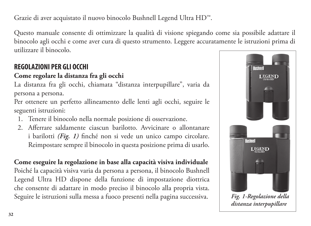Grazie di aver acquistato il nuovo binocolo Bushnell Legend Ultra HD™.

Questo manuale consente di ottimizzare la qualità di visione spiegando come sia possibile adattare il binocolo agli occhi e come aver cura di questo strumento. Leggere accuratamente le istruzioni prima di utilizzare il binocolo.

# **REGOLAZIONI PER GLI OCCHI**

# **Come regolare la distanza fra gli occhi**

La distanza fra gli occhi, chiamata "distanza interpupillare", varia da persona a persona.

Per ottenere un perfetto allineamento delle lenti agli occhi, seguire le seguenti istruzioni:

- 1. Tenere il binocolo nella normale posizione di osservazione.
- 2. Afferrare saldamente ciascun barilotto. Avvicinare o allontanare i barilotti *(Fig. 1)* finché non si vede un unico campo circolare. Reimpostare sempre il binocolo in questa posizione prima di usarlo.

# **Come eseguire la regolazione in base alla capacità visiva individuale**

Poiché la capacità visiva varia da persona a persona, il binocolo Bushnell Legend Ultra HD dispone della funzione di impostazione diottrica che consente di adattare in modo preciso il binocolo alla propria vista. Seguire le istruzioni sulla messa a fuoco presenti nella pagina successiva.

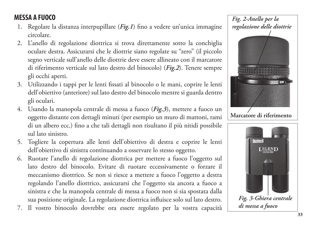# **MESSA A FUOCO**

- 1. Regolare la distanza interpupillare (*Fig.1*) fino a vedere un'unica immagine circolare.
- 2. L'anello di regolazione diottrica si trova direttamente sotto la conchiglia oculare destra. Assicurarsi che le diottrie siano regolate su "zero" (il piccolo segno verticale sull'anello delle diottrie deve essere allineato con il marcatore di riferimento verticale sul lato destro del binocolo) (*Fig.2*). Tenere sempre gli occhi aperti.
- 3. Utilizzando i tappi per le lenti fissati al binocolo o le mani, coprire le lenti dell'obiettivo (anteriore) sul lato destro del binocolo mentre si guarda dentro gli oculari.
- 4. Usando la manopola centrale di messa a fuoco (*Fig.3*), mettere a fuoco un oggetto distante con dettagli minuti (per esempio un muro di mattoni, rami di un albero ecc.) fino a che tali dettagli non risultano il più nitidi possibile sul lato sinistro.
- 5. Togliere la copertura alle lenti dell'obiettivo di destra e coprire le lenti dell'obiettivo di sinistra continuando a osservare lo stesso oggetto.
- 6. Ruotare l'anello di regolazione diottrica per mettere a fuoco l'oggetto sul lato destro del binocolo. Evitare di ruotare eccessivamente o forzare il meccanismo diottrico. Se non si riesce a mettere a fuoco l'oggetto a destra regolando l'anello diottrico, assicurarsi che l'oggetto sia ancora a fuoco a sinistra e che la manopola centrale di messa a fuoco non si sia spostata dalla sua posizione originale. La regolazione diottrica influisce solo sul lato destro.
- 7. Il vostro binocolo dovrebbe ora essere regolato per la vostra capacità



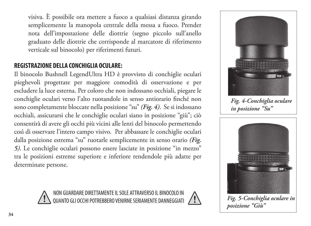visiva. È possibile ora mettere a fuoco a qualsiasi distanza girando semplicemente la manopola centrale della messa a fuoco. Prender nota dell'impostazione delle diottrie (segno piccolo sull'anello graduato delle diottrie che corrisponde al marcatore di riferimento verticale sul binocolo) per riferimenti futuri.

# **REGISTRAZIONE DELLA CONCHIGLIA OCULARE:**

Il binocolo Bushnell LegendUltra HD è provvisto di conchiglie oculari pieghevoli progettate per maggiore comodità di osservazione e per escludere la luce esterna. Per coloro che non indossano occhiali, piegare le conchiglie oculari verso l'alto ruotandole in senso antiorario finché non sono completamente bloccate nella posizione "su" *(Fig. 4)*. Se si indossano occhiali, assicurarsi che le conchiglie oculari siano in posizione "giù"; ciò consentirà di avere gli occhi più vicini alle lenti del binocolo permettendo così di osservare l'intero campo visivo. Per abbassare le conchiglie oculari dalla posizione estrema "su" ruotarle semplicemente in senso orario *(Fig. 5)*. Le conchiglie oculari possono essere lasciate in posizione "in mezzo" tra le posizioni estreme superiore e inferiore rendendole più adatte per determinate persone.



NON GUARDARE DIRETTAMENTE IL SOLE ATTRAVERSO IL BINOCOLO IN QUANTO GLI OCCHI POTREBBERO VENIRNE SERIAMENTE DANNEGGIATI



*Fig. 4-Conchiglia oculare in posizione "Su"*

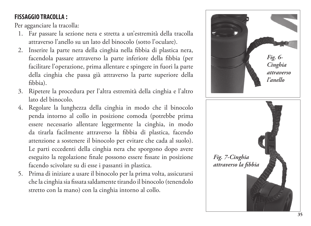# **FISSAGGIO TRACOLLA :**

Per agganciare la tracolla:

- 1. Far passare la sezione nera e stretta a un'estremità della tracolla attraverso l'anello su un lato del binocolo (sotto l'oculare).
- 2. Inserire la parte nera della cinghia nella fibbia di plastica nera, facendola passare attraverso la parte inferiore della fibbia (per facilitare l'operazione, prima allentare e spingere in fuori la parte della cinghia che passa già attraverso la parte superiore della fibbia).
- 3. Ripetere la procedura per l'altra estremità della cinghia e l'altro lato del binocolo.
- 4. Regolare la lunghezza della cinghia in modo che il binocolo penda intorno al collo in posizione comoda (potrebbe prima essere necessario allentare leggermente la cinghia, in modo da tirarla facilmente attraverso la fibbia di plastica, facendo attenzione a sostenere il binocolo per evitare che cada al suolo). Le parti eccedenti della cinghia nera che sporgono dopo avere eseguito la regolazione finale possono essere fissate in posizione facendo scivolare su di esse i passanti in plastica.
- 5. Prima di iniziare a usare il binocolo per la prima volta, assicurarsi che la cinghia sia fissata saldamente tirando il binocolo (tenendolo stretto con la mano) con la cinghia intorno al collo.

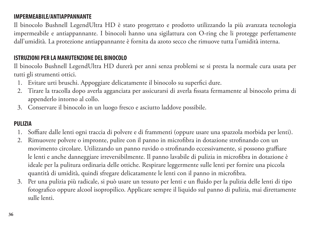### **IMPERMEABILE/ANTIAPPANNANTE**

Il binocolo Bushnell LegendUltra HD è stato progettato e prodotto utilizzando la più avanzata tecnologia impermeabile e antiappannante. I binocoli hanno una sigilattura con O-ring che li protegge perfettamente dall'umidità. La protezione antiappannante è fornita da azoto secco che rimuove tutta l'umidità interna.

# **ISTRUZIONI PER LA MANUTENZIONE DEL BINOCOLO**

Il binocolo Bushnell LegendUltra HD durerà per anni senza problemi se si presta la normale cura usata per tutti gli strumenti ottici.

- 1. Evitare urti bruschi. Appoggiare delicatamente il binocolo su superfici dure.
- 2. Tirare la tracolla dopo averla agganciata per assicurarsi di averla fissata fermamente al binocolo prima di appenderlo intorno al collo.
- 3. Conservare il binocolo in un luogo fresco e asciutto laddove possibile.

#### **PULIZIA**

- 1. Soffiare dalle lenti ogni traccia di polvere e di frammenti (oppure usare una spazzola morbida per lenti).
- 2. Rimuovere polvere o impronte, pulire con il panno in microfibra in dotazione strofinando con un movimento circolare. Utilizzando un panno ruvido o strofinando eccessivamente, si possono graffiare le lenti e anche danneggiare irreversibilmente. Il panno lavabile di pulizia in microfibra in dotazione è ideale per la pulitura ordinaria delle ottiche. Respirare leggermente sulle lenti per fornire una piccola quantità di umidità, quindi sfregare delicatamente le lenti con il panno in microfibra.
- 3. Per una pulizia più radicale, si può usare un tessuto per lenti e un fluido per la pulizia delle lenti di tipo fotografico oppure alcool isopropilico. Applicare sempre il liquido sul panno di pulizia, mai direttamente sulle lenti.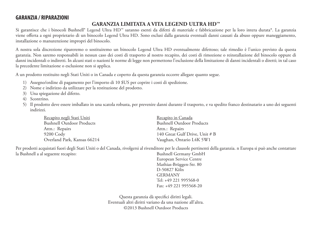#### **GARANZIA / RIPARAZIONI**

#### **GARANZIA LIMITATA A VITA Legend Ultra HD™**

Si garantisce che i binocoli Bushnell® Legend Ultra HD™ saranno esenti da difetti di materiale e fabbricazione per la loro intera durata\*. La garanzia viene offerta a ogni proprietario di un binocolo Legend Ultra HD. Sono esclusi dalla garanzia eventuali danni causati da abuso oppure maneggiamento, installazione o manutenzione impropri del binocolo.

A nostra sola discrezione ripareremo o sostituiremo un binocolo Legend Ultra HD eventualmente difettoso; tale rimedio è l'unico previsto da questa garanzia. Non saremo responsabili in nessun caso dei costi di trasporto al nostro recapito, dei costi di rimozione o reinstallazione del binocolo oppure di danni incidentali o indiretti. In alcuni stati o nazioni le norme di legge non permettono l'esclusione della limitazione di danni incidentali o diretti; in tal caso la precedente limitazione o esclusione non si applica.

A un prodotto restituito negli Stati Uniti o in Canada e coperto da questa garanzia occorre allegare quanto segue.

- 1) Assegno/ordine di pagamento per l'importo di 10 \$US per coprire i costi di spedizione.
- 2) Nome e indirizzo da utilizzare per la restituzione del prodotto.
- 3) Una spiegazione del difetto.
- 4) Scontrino.
- 5) Il prodotto deve essere imballato in una scatola robusta, per prevenire danni durante il trasporto, e va spedito franco destinatario a uno dei seguenti indirizzi.

| Recapito negli Stati Uniti       | Recapito in Canada               |
|----------------------------------|----------------------------------|
| <b>Bushnell Outdoor Products</b> | <b>Bushnell Outdoor Products</b> |
| Attn.: Repairs                   | Attn.: Repairs                   |
| 9200 Cody                        | 140 Great Gulf Drive, Unit # B   |
| Overland Park, Kansas 66214      | Vaughan, Ontario L4K 5W1         |

Per prodotti acquistati fuori degli Stati Uniti o del Canada, rivolgersi al rivenditore per le clausole pertinenti della garanzia. n Europa si può anche contattare la Bushnell a al seguente recapito:

 European Service Centre Mathias-Brüggen-Str. 80 D-50827 Köln GERMANY Tel: +49 221 995568-0 Fax: +49 221 995568-20

Questa garanzia dà specifici diritti legali. Eventuali altri diritti variano da una nazione all'altra. ©2013 Bushnell Outdoor Products